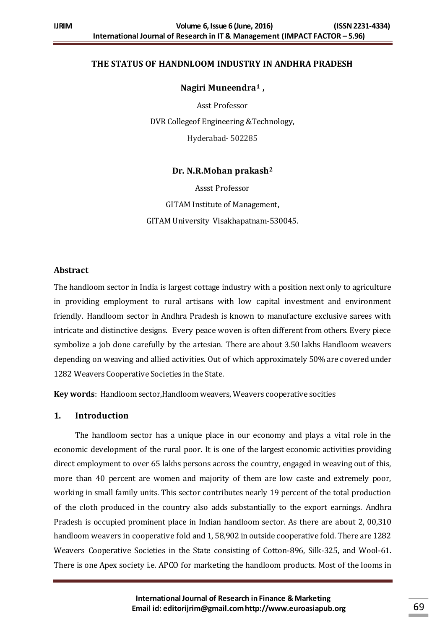# **THE STATUS OF HANDNLOOM INDUSTRY IN ANDHRA PRADESH**

**Nagiri Muneendra<sup>1</sup> ,**

Asst Professor DVR Collegeof Engineering &Technology, Hyderabad- 502285

**Dr. N.R.Mohan prakash<sup>2</sup>**

Assst Professor GITAM Institute of Management, GITAM University Visakhapatnam-530045.

# **Abstract**

The handloom sector in India is largest cottage industry with a position next only to agriculture in providing employment to rural artisans with low capital investment and environment friendly. Handloom sector in Andhra Pradesh is known to manufacture exclusive sarees with intricate and distinctive designs. Every peace woven is often different from others. Every piece symbolize a job done carefully by the artesian. There are about 3.50 lakhs Handloom weavers depending on weaving and allied activities. Out of which approximately 50% are covered under 1282 Weavers Cooperative Societies in the State.

**Key words**: Handloom sector,Handloom weavers, Weavers cooperative socities

### **1. Introduction**

The handloom sector has a unique place in our economy and plays a vital role in the economic development of the rural poor. It is one of the largest economic activities providing direct employment to over 65 lakhs persons across the country, engaged in weaving out of this, more than 40 percent are women and majority of them are low caste and extremely poor, working in small family units. This sector contributes nearly 19 percent of the total production of the cloth produced in the country also adds substantially to the export earnings. Andhra Pradesh is occupied prominent place in Indian handloom sector. As there are about 2, 00,310 handloom weavers in cooperative fold and 1, 58,902 in outside cooperative fold. There are 1282 Weavers Cooperative Societies in the State consisting of Cotton-896, Silk-325, and Wool-61. There is one Apex society i.e. APCO for marketing the handloom products. Most of the looms in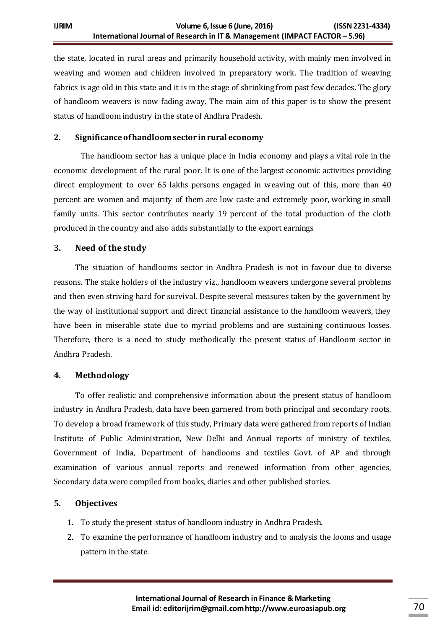the state, located in rural areas and primarily household activity, with mainly men involved in weaving and women and children involved in preparatory work. The tradition of weaving fabrics is age old in this state and it is in the stage of shrinking from past few decades. The glory of handloom weavers is now fading away. The main aim of this paper is to show the present status of handloom industry in the state of Andhra Pradesh.

# **2. Significance of handloomsector in rural economy**

The handloom sector has a unique place in India economy and plays a vital role in the economic development of the rural poor. It is one of the largest economic activities providing direct employment to over 65 lakhs persons engaged in weaving out of this, more than 40 percent are women and majority of them are low caste and extremely poor, working in small family units. This sector contributes nearly 19 percent of the total production of the cloth produced in the country and also adds substantially to the export earnings

# **3. Need of the study**

The situation of handlooms sector in Andhra Pradesh is not in favour due to diverse reasons. The stake holders of the industry viz., handloom weavers undergone several problems and then even striving hard for survival. Despite several measures taken by the government by the way of institutional support and direct financial assistance to the handloom weavers, they have been in miserable state due to myriad problems and are sustaining continuous losses. Therefore, there is a need to study methodically the present status of Handloom sector in Andhra Pradesh.

#### **4. Methodology**

To offer realistic and comprehensive information about the present status of handloom industry in Andhra Pradesh, data have been garnered from both principal and secondary roots. To develop a broad framework of this study, Primary data were gathered from reports of Indian Institute of Public Administration, New Delhi and Annual reports of ministry of textiles, Government of India, Department of handlooms and textiles Govt. of AP and through examination of various annual reports and renewed information from other agencies, Secondary data were compiled from books, diaries and other published stories.

# **5. Objectives**

- 1. To study the present status of handloom industry in Andhra Pradesh.
- 2. To examine the performance of handloom industry and to analysis the looms and usage pattern in the state.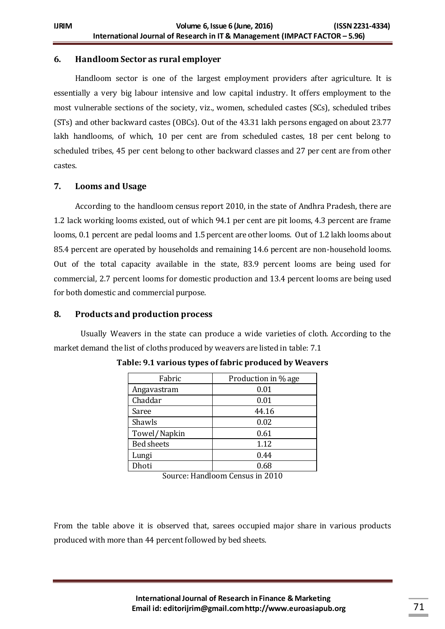# **6. Handloom Sector as rural employer**

Handloom sector is one of the largest employment providers after agriculture. It is essentially a very big labour intensive and low capital industry. It offers employment to the most vulnerable sections of the society, viz., women, scheduled castes (SCs), scheduled tribes (STs) and other backward castes (OBCs). Out of the 43.31 lakh persons engaged on about 23.77 lakh handlooms, of which, 10 per cent are from scheduled castes, 18 per cent belong to scheduled tribes, 45 per cent belong to other backward classes and 27 per cent are from other castes.

# **7. Looms and Usage**

According to the handloom census report 2010, in the state of Andhra Pradesh, there are 1.2 lack working looms existed, out of which 94.1 per cent are pit looms, 4.3 percent are frame looms, 0.1 percent are pedal looms and 1.5 percent are other looms. Out of 1.2 lakh looms about 85.4 percent are operated by households and remaining 14.6 percent are non-household looms. Out of the total capacity available in the state, 83.9 percent looms are being used for commercial, 2.7 percent looms for domestic production and 13.4 percent looms are being used for both domestic and commercial purpose.

# **8. Products and production process**

Usually Weavers in the state can produce a wide varieties of cloth. According to the market demand the list of cloths produced by weavers are listed in table: 7.1

| Fabric            | Production in % age |
|-------------------|---------------------|
| Angavastram       | 0.01                |
| Chaddar           | 0.01                |
| Saree             | 44.16               |
| Shawls            | 0.02                |
| Towel/Napkin      | 0.61                |
| <b>Bed sheets</b> | 1.12                |
| Lungi             | 0.44                |
| Dhoti             | 0.68                |

**Table: 9.1 various types of fabric produced by Weavers** 

Source: Handloom Census in 2010

From the table above it is observed that, sarees occupied major share in various products produced with more than 44 percent followed by bed sheets.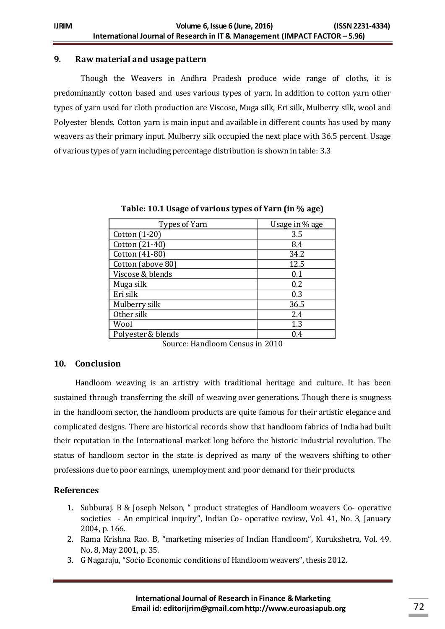# **9. Raw material and usage pattern**

Though the Weavers in Andhra Pradesh produce wide range of cloths, it is predominantly cotton based and uses various types of yarn. In addition to cotton yarn other types of yarn used for cloth production are Viscose, Muga silk, Eri silk, Mulberry silk, wool and Polyester blends. Cotton yarn is main input and available in different counts has used by many weavers as their primary input. Mulberry silk occupied the next place with 36.5 percent. Usage of various types of yarn including percentage distribution is shown in table: 3.3

| Types of Yarn      | Usage in % age |
|--------------------|----------------|
| Cotton (1-20)      | 3.5            |
| Cotton (21-40)     | 8.4            |
| Cotton (41-80)     | 34.2           |
| Cotton (above 80)  | 12.5           |
| Viscose & blends   | 0.1            |
| Muga silk          | 0.2            |
| Eri silk           | 0.3            |
| Mulberry silk      | 36.5           |
| Other silk         | 2.4            |
| Wool               | 1.3            |
| Polyester & blends | 0.4            |

**Table: 10.1 Usage of various types of Yarn (in % age)**

Source: Handloom Census in 2010

#### **10. Conclusion**

Handloom weaving is an artistry with traditional heritage and culture. It has been sustained through transferring the skill of weaving over generations. Though there is snugness in the handloom sector, the handloom products are quite famous for their artistic elegance and complicated designs. There are historical records show that handloom fabrics of India had built their reputation in the International market long before the historic industrial revolution. The status of handloom sector in the state is deprived as many of the weavers shifting to other professions due to poor earnings, unemployment and poor demand for their products.

# **References**

- 1. Subburaj. B & Joseph Nelson, " product strategies of Handloom weavers Co- operative societies - An empirical inquiry", Indian Co- operative review, Vol. 41, No. 3, January 2004, p. 166.
- 2. Rama Krishna Rao. B, "marketing miseries of Indian Handloom", Kurukshetra, Vol. 49. No. 8, May 2001, p. 35.
- 3. G Nagaraju, "Socio Economic conditions of Handloom weavers", thesis 2012.